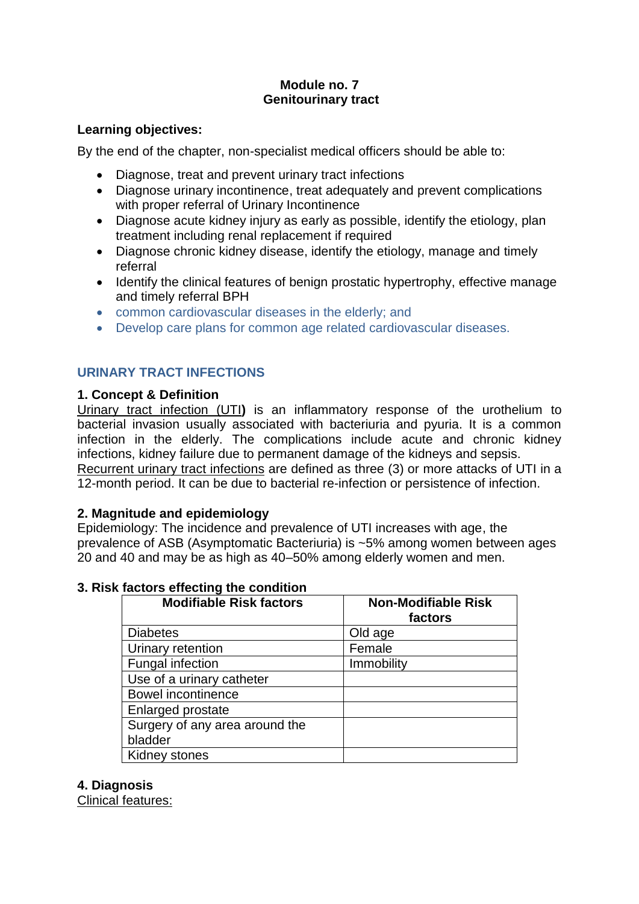# **Module no. 7 Genitourinary tract**

## **Learning objectives:**

By the end of the chapter, non-specialist medical officers should be able to:

- Diagnose, treat and prevent urinary tract infections
- Diagnose urinary incontinence, treat adequately and prevent complications with proper referral of Urinary Incontinence
- Diagnose acute kidney injury as early as possible, identify the etiology, plan treatment including renal replacement if required
- Diagnose chronic kidney disease, identify the etiology, manage and timely referral
- Identify the clinical features of benign prostatic hypertrophy, effective manage and timely referral BPH
- common cardiovascular diseases in the elderly; and
- Develop care plans for common age related cardiovascular diseases.

# **URINARY TRACT INFECTIONS**

## **1. Concept & Definition**

Urinary tract infection (UTI**)** is an inflammatory response of the urothelium to bacterial invasion usually associated with bacteriuria and pyuria. It is a common infection in the elderly. The complications include acute and chronic kidney infections, kidney failure due to permanent damage of the kidneys and sepsis. Recurrent urinary tract infections are defined as three (3) or more attacks of UTI in a 12-month period. It can be due to bacterial re-infection or persistence of infection.

## **2. Magnitude and epidemiology**

Epidemiology: The incidence and prevalence of UTI increases with age, the prevalence of ASB (Asymptomatic Bacteriuria) is ~5% among women between ages 20 and 40 and may be as high as 40–50% among elderly women and men.

| <b>Modifiable Risk factors</b> | <b>Non-Modifiable Risk</b><br>factors |
|--------------------------------|---------------------------------------|
| <b>Diabetes</b>                | Old age                               |
| Urinary retention              | Female                                |
| Fungal infection               | Immobility                            |
| Use of a urinary catheter      |                                       |
| <b>Bowel incontinence</b>      |                                       |
| Enlarged prostate              |                                       |
| Surgery of any area around the |                                       |
| bladder                        |                                       |
| Kidney stones                  |                                       |

# **3. Risk factors effecting the condition**

#### **4. Diagnosis**

Clinical features: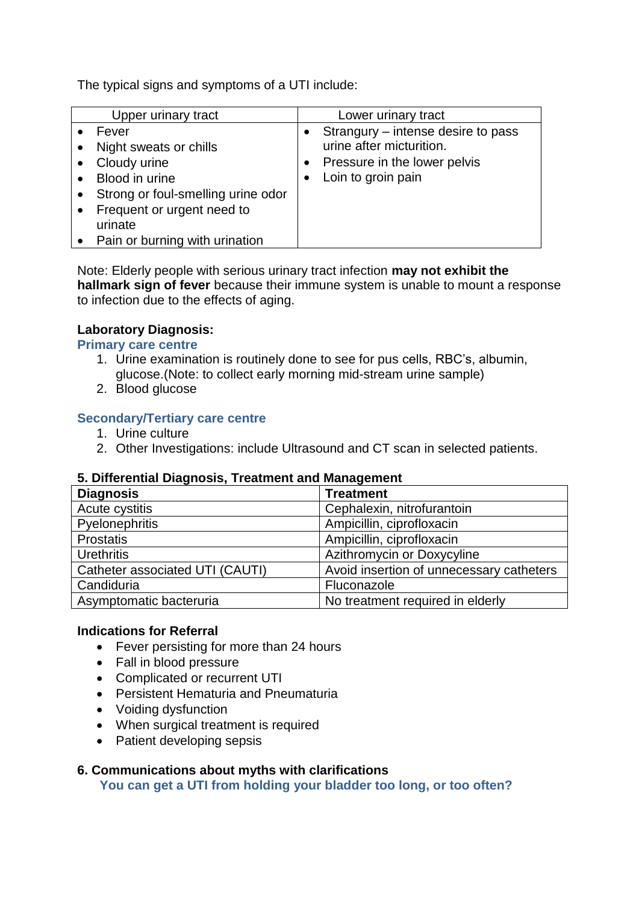The typical signs and symptoms of a UTI include:

| Upper urinary tract                                                                                                                                                                | Lower urinary tract                                                                                                    |
|------------------------------------------------------------------------------------------------------------------------------------------------------------------------------------|------------------------------------------------------------------------------------------------------------------------|
| Fever<br>Night sweats or chills<br>Cloudy urine<br>Blood in urine<br>Strong or foul-smelling urine odor<br>Frequent or urgent need to<br>urinate<br>Pain or burning with urination | • Strangury – intense desire to pass<br>urine after micturition.<br>Pressure in the lower pelvis<br>Loin to groin pain |

Note: Elderly people with serious urinary tract infection **may not exhibit the hallmark sign of fever** because their immune system is unable to mount a response to infection due to the effects of aging.

## **Laboratory Diagnosis:**

#### **Primary care centre**

- 1. Urine examination is routinely done to see for pus cells, RBC's, albumin, glucose.(Note: to collect early morning mid-stream urine sample)
- 2. Blood glucose

## **Secondary/Tertiary care centre**

- 1. Urine culture
- 2. Other Investigations: include Ultrasound and CT scan in selected patients.

#### **5. Differential Diagnosis, Treatment and Management**

| <b>Diagnosis</b>                | <b>Treatment</b>                         |
|---------------------------------|------------------------------------------|
| Acute cystitis                  | Cephalexin, nitrofurantoin               |
| Pyelonephritis                  | Ampicillin, ciprofloxacin                |
| <b>Prostatis</b>                | Ampicillin, ciprofloxacin                |
| <b>Urethritis</b>               | Azithromycin or Doxycyline               |
| Catheter associated UTI (CAUTI) | Avoid insertion of unnecessary catheters |
| Candiduria                      | Fluconazole                              |
| Asymptomatic bacteruria         | No treatment required in elderly         |

#### **Indications for Referral**

- Fever persisting for more than 24 hours
- Fall in blood pressure
- Complicated or recurrent UTI
- Persistent Hematuria and Pneumaturia
- Voiding dysfunction
- When surgical treatment is required
- Patient developing sepsis

#### **6. Communications about myths with clarifications**

**You can get a UTI from holding your bladder too long, or too often?**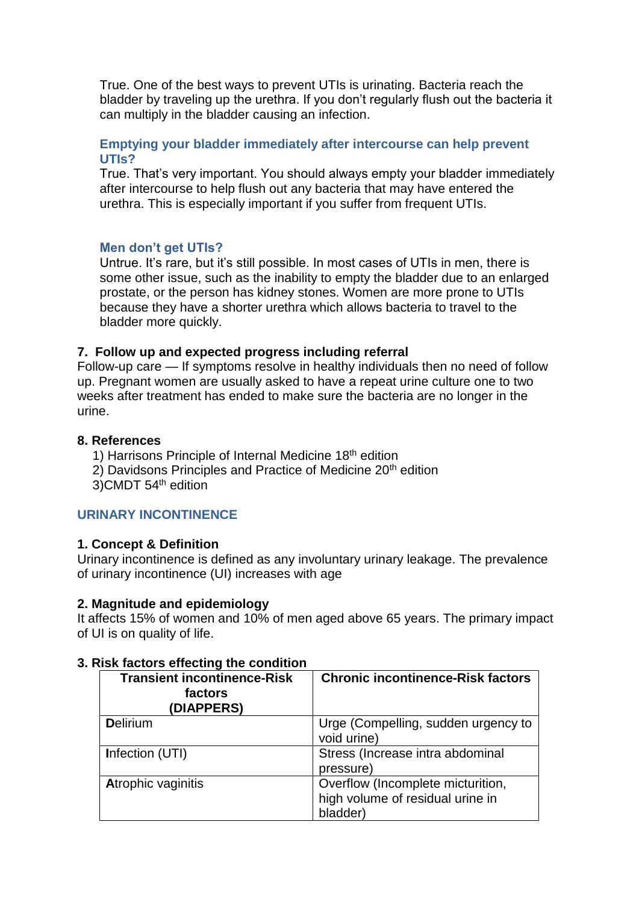True. One of the best ways to prevent UTIs is urinating. Bacteria reach the bladder by traveling up the urethra. If you don't regularly flush out the bacteria it can multiply in the bladder causing an infection.

#### **Emptying your bladder immediately after intercourse can help prevent UTIs?**

True. That's very important. You should always empty your bladder immediately after intercourse to help flush out any bacteria that may have entered the urethra. This is especially important if you suffer from frequent UTIs.

## **Men don't get UTIs?**

Untrue. It's rare, but it's still possible. In most cases of UTIs in men, there is some other issue, such as the inability to empty the bladder due to an enlarged prostate, or the person has kidney stones. Women are more prone to UTIs because they have a shorter urethra which allows bacteria to travel to the bladder more quickly.

## **7. Follow up and expected progress including referral**

Follow-up care — If symptoms resolve in healthy individuals then no need of follow up. Pregnant women are usually asked to have a repeat urine culture one to two weeks after treatment has ended to make sure the bacteria are no longer in the urine.

## **8. References**

- 1) Harrisons Principle of Internal Medicine 18th edition
- 2) Davidsons Principles and Practice of Medicine 20<sup>th</sup> edition
- 3)CMDT 54th edition

## **URINARY INCONTINENCE**

#### **1. Concept & Definition**

Urinary incontinence is defined as any involuntary urinary leakage. The prevalence of urinary incontinence (UI) increases with age

#### **2. Magnitude and epidemiology**

It affects 15% of women and 10% of men aged above 65 years. The primary impact of UI is on quality of life.

| <b>Transient incontinence-Risk</b><br>factors<br>(DIAPPERS) | <b>Chronic incontinence-Risk factors</b>                                          |
|-------------------------------------------------------------|-----------------------------------------------------------------------------------|
| <b>Delirium</b>                                             | Urge (Compelling, sudden urgency to<br>void urine)                                |
| Infection (UTI)                                             | Stress (Increase intra abdominal<br>pressure)                                     |
| <b>Atrophic vaginitis</b>                                   | Overflow (Incomplete micturition,<br>high volume of residual urine in<br>bladder) |

#### **3. Risk factors effecting the condition**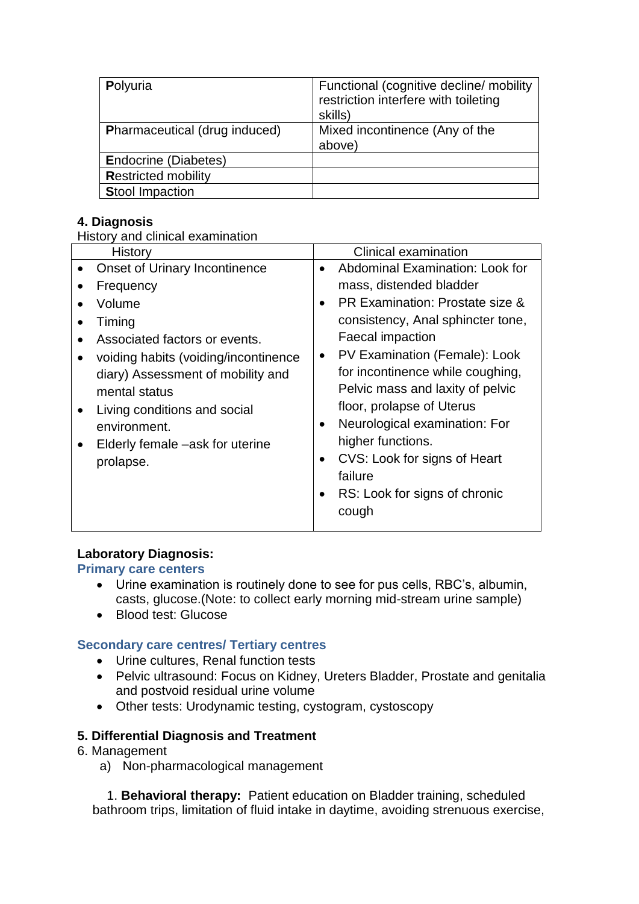| Polyuria                             | Functional (cognitive decline/ mobility<br>restriction interfere with toileting<br>skills) |
|--------------------------------------|--------------------------------------------------------------------------------------------|
| <b>Pharmaceutical (drug induced)</b> | Mixed incontinence (Any of the<br>above)                                                   |
| <b>Endocrine (Diabetes)</b>          |                                                                                            |
| <b>Restricted mobility</b>           |                                                                                            |
| <b>Stool Impaction</b>               |                                                                                            |

# **4. Diagnosis**

History and clinical examination

| History                                                                                                                                                                                    | Clinical examination                                                                                                                                                                                                                                                                                                              |
|--------------------------------------------------------------------------------------------------------------------------------------------------------------------------------------------|-----------------------------------------------------------------------------------------------------------------------------------------------------------------------------------------------------------------------------------------------------------------------------------------------------------------------------------|
| <b>Onset of Urinary Incontinence</b>                                                                                                                                                       | Abdominal Examination: Look for<br>$\bullet$                                                                                                                                                                                                                                                                                      |
| Frequency                                                                                                                                                                                  | mass, distended bladder                                                                                                                                                                                                                                                                                                           |
| Volume                                                                                                                                                                                     | PR Examination: Prostate size &<br>$\bullet$                                                                                                                                                                                                                                                                                      |
| Timing                                                                                                                                                                                     | consistency, Anal sphincter tone,                                                                                                                                                                                                                                                                                                 |
| Associated factors or events.                                                                                                                                                              | <b>Faecal impaction</b>                                                                                                                                                                                                                                                                                                           |
| voiding habits (voiding/incontinence<br>diary) Assessment of mobility and<br>mental status<br>Living conditions and social<br>environment.<br>Elderly female –ask for uterine<br>prolapse. | PV Examination (Female): Look<br>$\bullet$<br>for incontinence while coughing,<br>Pelvic mass and laxity of pelvic<br>floor, prolapse of Uterus<br>Neurological examination: For<br>$\bullet$<br>higher functions.<br>CVS: Look for signs of Heart<br>$\bullet$<br>failure<br>RS: Look for signs of chronic<br>$\bullet$<br>cough |

## **Laboratory Diagnosis:**

## **Primary care centers**

- Urine examination is routinely done to see for pus cells, RBC's, albumin, casts, glucose.(Note: to collect early morning mid-stream urine sample)
- Blood test: Glucose

## **Secondary care centres/ Tertiary centres**

- Urine cultures, Renal function tests
- Pelvic ultrasound: Focus on Kidney, Ureters Bladder, Prostate and genitalia and postvoid residual urine volume
- Other tests: Urodynamic testing, cystogram, cystoscopy

## **5. Differential Diagnosis and Treatment**

- 6. Management
	- a) Non-pharmacological management

 1. **Behavioral therapy:** Patient education on Bladder training, scheduled bathroom trips, limitation of fluid intake in daytime, avoiding strenuous exercise,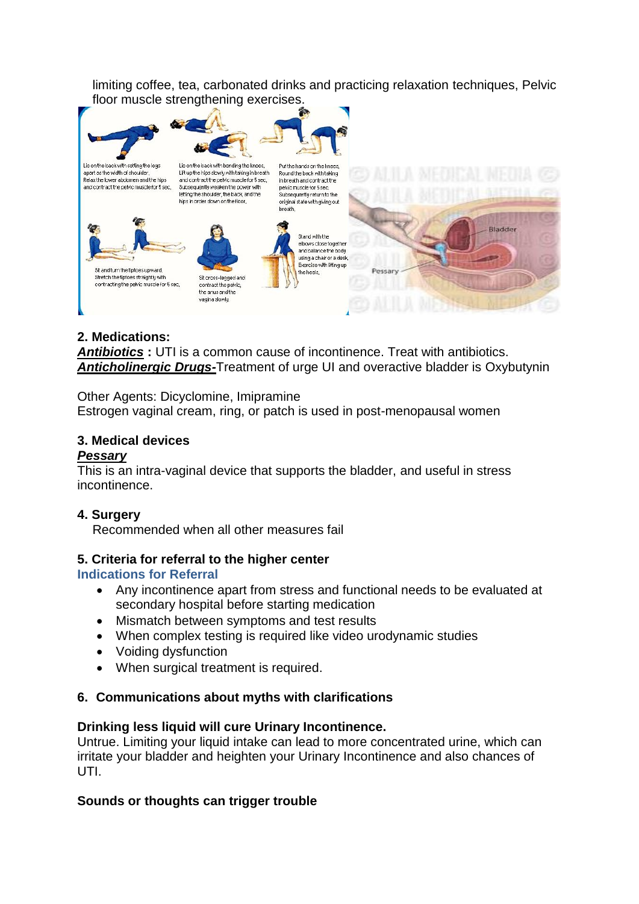limiting coffee, tea, carbonated drinks and practicing relaxation techniques, Pelvic floor muscle strengthening exercises.



# **2. Medications:**

*Antibiotics* **:** UTI is a common cause of incontinence. Treat with antibiotics. *Anticholinergic Drugs-*Treatment of urge UI and overactive bladder is Oxybutynin

Other Agents: Dicyclomine, Imipramine Estrogen vaginal cream, ring, or patch is used in post-menopausal women

# **3. Medical devices**

## *Pessary*

This is an intra-vaginal device that supports the bladder, and useful in stress incontinence.

## **4. Surgery**

Recommended when all other measures fail

## **5. Criteria for referral to the higher center**

## **Indications for Referral**

- Any incontinence apart from stress and functional needs to be evaluated at secondary hospital before starting medication
- Mismatch between symptoms and test results
- When complex testing is required like video urodynamic studies
- Voiding dysfunction
- When surgical treatment is required.

## **6. Communications about myths with clarifications**

#### **Drinking less liquid will cure Urinary Incontinence.**

Untrue. Limiting your liquid intake can lead to more concentrated urine, which can irritate your bladder and heighten your Urinary Incontinence and also chances of UTI.

## **Sounds or thoughts can trigger trouble**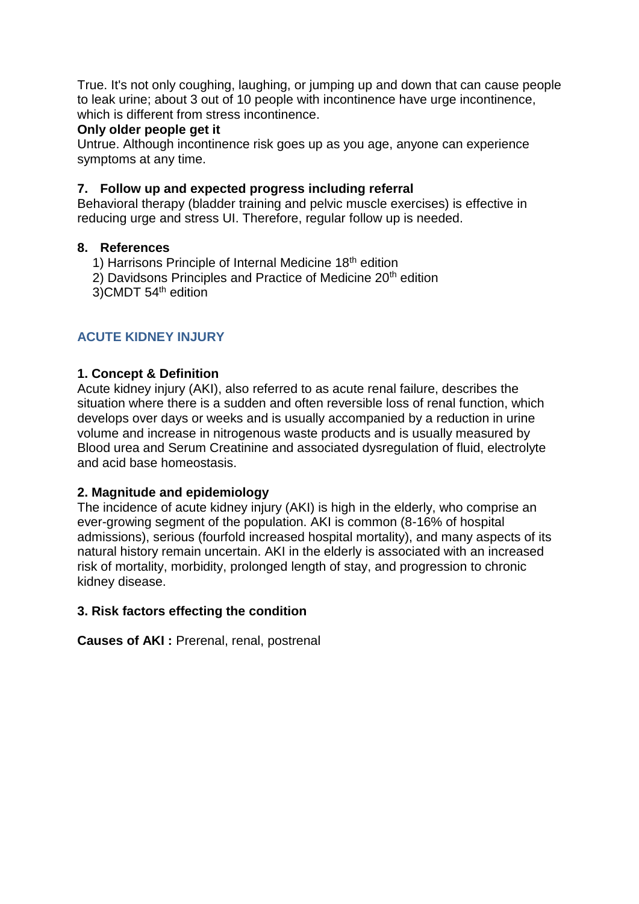True. It's not only coughing, laughing, or jumping up and down that can cause people to leak urine; about 3 out of 10 people with incontinence have urge incontinence, which is different from stress incontinence.

## **Only older people get it**

Untrue. Although incontinence risk goes up as you age, anyone can experience symptoms at any time.

## **7. Follow up and expected progress including referral**

Behavioral therapy (bladder training and pelvic muscle exercises) is effective in reducing urge and stress UI. Therefore, regular follow up is needed.

## **8. References**

- 1) Harrisons Principle of Internal Medicine 18<sup>th</sup> edition
- 2) Davidsons Principles and Practice of Medicine 20<sup>th</sup> edition
- 3)CMDT 54th edition

# **ACUTE KIDNEY INJURY**

## **1. Concept & Definition**

Acute kidney injury (AKI), also referred to as acute renal failure, describes the situation where there is a sudden and often reversible loss of renal function, which develops over days or weeks and is usually accompanied by a reduction in urine volume and increase in nitrogenous waste products and is usually measured by Blood urea and Serum Creatinine and associated dysregulation of fluid, electrolyte and acid base homeostasis.

#### **2. Magnitude and epidemiology**

The incidence of acute kidney injury (AKI) is high in the elderly, who comprise an ever-growing segment of the population. AKI is common (8-16% of hospital admissions), serious (fourfold increased hospital mortality), and many aspects of its natural history remain uncertain. AKI in the elderly is associated with an increased risk of mortality, morbidity, prolonged length of stay, and progression to chronic kidney disease.

## **3. Risk factors effecting the condition**

**Causes of AKI: Prerenal, renal, postrenal**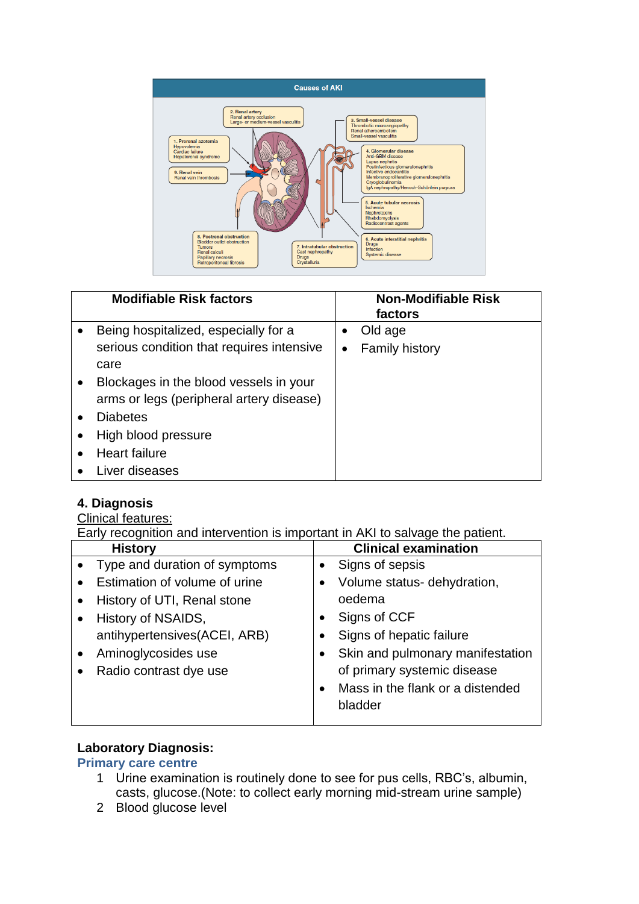

| <b>Modifiable Risk factors</b>            |   | <b>Non-Modifiable Risk</b><br>factors |
|-------------------------------------------|---|---------------------------------------|
| Being hospitalized, especially for a      | ٠ | Old age                               |
| serious condition that requires intensive | ٠ | <b>Family history</b>                 |
| care                                      |   |                                       |
| Blockages in the blood vessels in your    |   |                                       |
| arms or legs (peripheral artery disease)  |   |                                       |
| <b>Diabetes</b>                           |   |                                       |
| High blood pressure                       |   |                                       |
| <b>Heart failure</b>                      |   |                                       |
| Liver diseases                            |   |                                       |

## **4. Diagnosis**

## Clinical features:

Early recognition and intervention is important in AKI to salvage the patient.

| <b>History</b>                |           | <b>Clinical examination</b>      |
|-------------------------------|-----------|----------------------------------|
| Type and duration of symptoms | $\bullet$ | Signs of sepsis                  |
| Estimation of volume of urine |           | Volume status- dehydration,      |
| History of UTI, Renal stone   |           | oedema                           |
| History of NSAIDS,            | $\bullet$ | Signs of CCF                     |
| antihypertensives(ACEI, ARB)  | ٠         | Signs of hepatic failure         |
| Aminoglycosides use           | ٠         | Skin and pulmonary manifestation |
| Radio contrast dye use        |           | of primary systemic disease      |
|                               | $\bullet$ | Mass in the flank or a distended |
|                               |           | bladder                          |
|                               |           |                                  |

## **Laboratory Diagnosis:**

#### **Primary care centre**

- 1 Urine examination is routinely done to see for pus cells, RBC's, albumin, casts, glucose.(Note: to collect early morning mid-stream urine sample)
- 2 Blood glucose level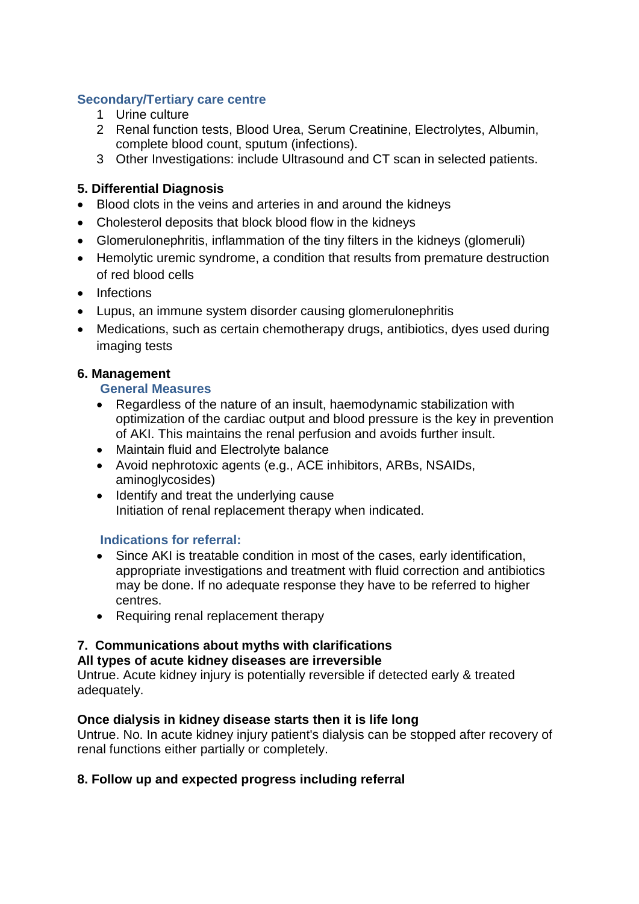## **Secondary/Tertiary care centre**

- 1 Urine culture
- 2 Renal function tests, Blood Urea, Serum Creatinine, Electrolytes, Albumin, complete blood count, sputum (infections).
- 3 Other Investigations: include Ultrasound and CT scan in selected patients.

## **5. Differential Diagnosis**

- Blood clots in the veins and arteries in and around the kidneys
- Cholesterol deposits that block blood flow in the kidneys
- Glomerulonephritis, inflammation of the tiny filters in the kidneys (glomeruli)
- Hemolytic uremic syndrome, a condition that results from premature destruction of red blood cells
- Infections
- Lupus, an immune system disorder causing glomerulonephritis
- Medications, such as certain chemotherapy drugs, antibiotics, dyes used during imaging tests

## **6. Management**

#### **General Measures**

- Regardless of the nature of an insult, haemodynamic stabilization with optimization of the cardiac output and blood pressure is the key in prevention of AKI. This maintains the renal perfusion and avoids further insult.
- Maintain fluid and Electrolyte balance
- Avoid nephrotoxic agents (e.g., ACE inhibitors, ARBs, NSAIDs, aminoglycosides)
- Identify and treat the underlying cause Initiation of renal replacement therapy when indicated.

## **Indications for referral:**

- Since AKI is treatable condition in most of the cases, early identification, appropriate investigations and treatment with fluid correction and antibiotics may be done. If no adequate response they have to be referred to higher centres.
- Requiring renal replacement therapy

## **7. Communications about myths with clarifications**

#### **All types of acute kidney diseases are irreversible**

Untrue. Acute kidney injury is potentially reversible if detected early & treated adequately.

#### **Once dialysis in kidney disease starts then it is life long**

Untrue. No. In acute kidney injury patient's dialysis can be stopped after recovery of renal functions either partially or completely.

## **8. Follow up and expected progress including referral**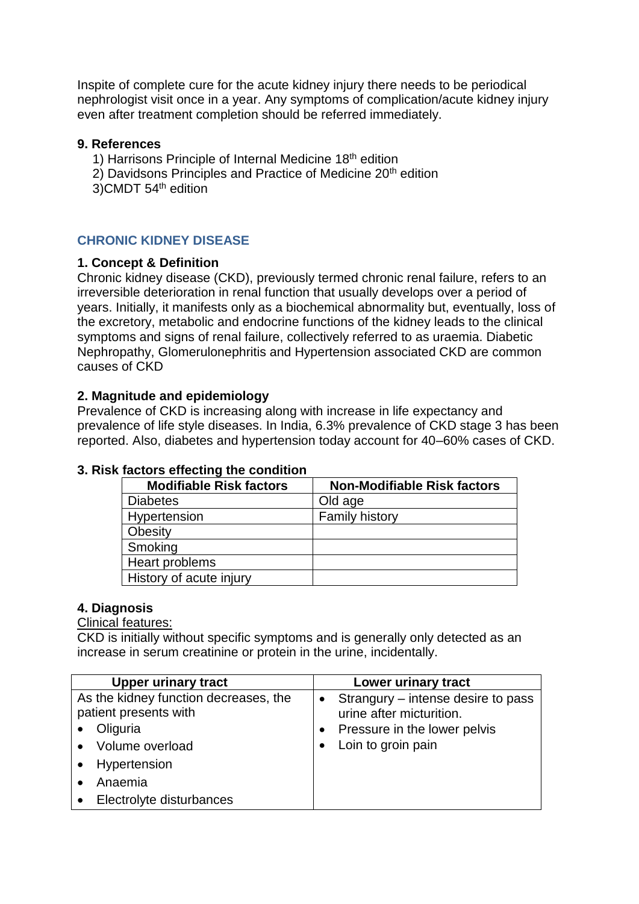Inspite of complete cure for the acute kidney injury there needs to be periodical nephrologist visit once in a year. Any symptoms of complication/acute kidney injury even after treatment completion should be referred immediately.

#### **9. References**

- 1) Harrisons Principle of Internal Medicine 18<sup>th</sup> edition
- 2) Davidsons Principles and Practice of Medicine 20<sup>th</sup> edition
- 3)CMDT 54th edition

## **CHRONIC KIDNEY DISEASE**

## **1. Concept & Definition**

Chronic kidney disease (CKD), previously termed chronic renal failure, refers to an irreversible deterioration in renal function that usually develops over a period of years. Initially, it manifests only as a biochemical abnormality but, eventually, loss of the excretory, metabolic and endocrine functions of the kidney leads to the clinical symptoms and signs of renal failure, collectively referred to as uraemia. Diabetic Nephropathy, Glomerulonephritis and Hypertension associated CKD are common causes of CKD

## **2. Magnitude and epidemiology**

Prevalence of CKD is increasing along with increase in life expectancy and prevalence of life style diseases. In India, 6.3% prevalence of CKD stage 3 has been reported. Also, diabetes and hypertension today account for 40–60% cases of CKD.

| <b>Modifiable Risk factors</b> | <b>Non-Modifiable Risk factors</b> |  |
|--------------------------------|------------------------------------|--|
| <b>Diabetes</b>                | Old age                            |  |
| Hypertension                   | <b>Family history</b>              |  |
| Obesity                        |                                    |  |
| Smoking                        |                                    |  |
| Heart problems                 |                                    |  |
| History of acute injury        |                                    |  |

## **3. Risk factors effecting the condition**

#### **4. Diagnosis**

## Clinical features:

CKD is initially without specific symptoms and is generally only detected as an increase in [serum creatinine](https://en.wikipedia.org/wiki/Creatinine#Serum_creatinine) or protein in the urine, incidentally.

| <b>Upper urinary tract</b>            | Lower urinary tract                             |
|---------------------------------------|-------------------------------------------------|
| As the kidney function decreases, the | Strangury – intense desire to pass<br>$\bullet$ |
| patient presents with                 | urine after micturition.                        |
| Oliguria                              | Pressure in the lower pelvis                    |
| Volume overload                       | Loin to groin pain                              |
| Hypertension                          |                                                 |
| Anaemia                               |                                                 |
| Electrolyte disturbances              |                                                 |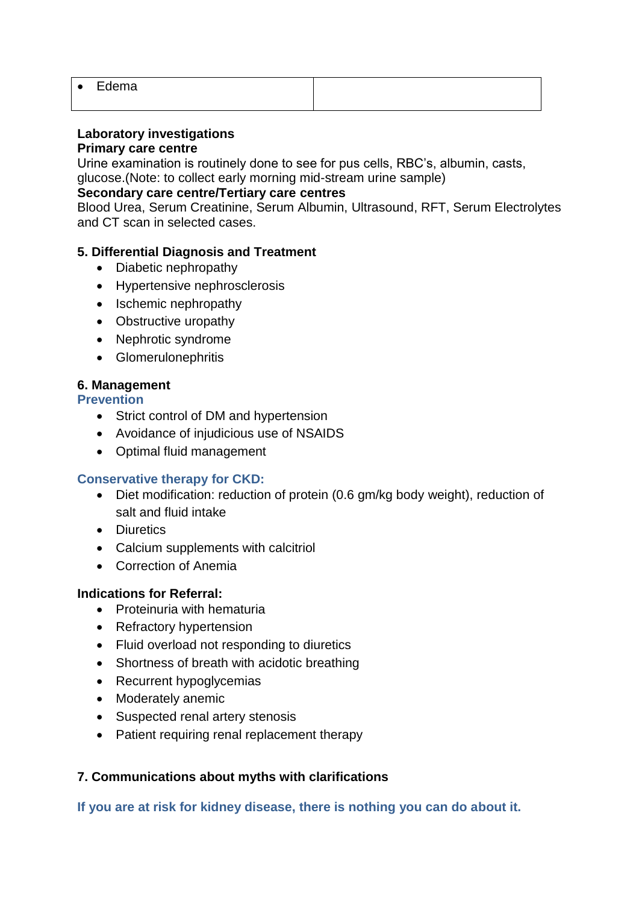| $\epsilon$ | Edema |  |
|------------|-------|--|
|            |       |  |

# **Laboratory investigations**

**Primary care centre**

Urine examination is routinely done to see for pus cells, RBC's, albumin, casts, glucose.(Note: to collect early morning mid-stream urine sample)

# **Secondary care centre/Tertiary care centres**

Blood Urea, Serum Creatinine, Serum Albumin, Ultrasound, RFT, Serum Electrolytes and CT scan in selected cases.

## **5. Differential Diagnosis and Treatment**

- Diabetic nephropathy
- Hypertensive nephrosclerosis
- Ischemic nephropathy
- Obstructive uropathy
- Nephrotic syndrome
- Glomerulonephritis

## **6. Management**

**Prevention**

- Strict control of DM and hypertension
- Avoidance of injudicious use of NSAIDS
- Optimal fluid management

## **Conservative therapy for CKD:**

- Diet modification: reduction of protein (0.6 gm/kg body weight), reduction of salt and fluid intake
- Diuretics
- Calcium supplements with calcitriol
- Correction of Anemia

#### **Indications for Referral:**

- Proteinuria with hematuria
- Refractory hypertension
- Fluid overload not responding to diuretics
- Shortness of breath with acidotic breathing
- Recurrent hypoglycemias
- Moderately anemic
- Suspected renal artery stenosis
- Patient requiring renal replacement therapy

## **7. Communications about myths with clarifications**

**If you are at risk for kidney disease, there is nothing you can do about it.**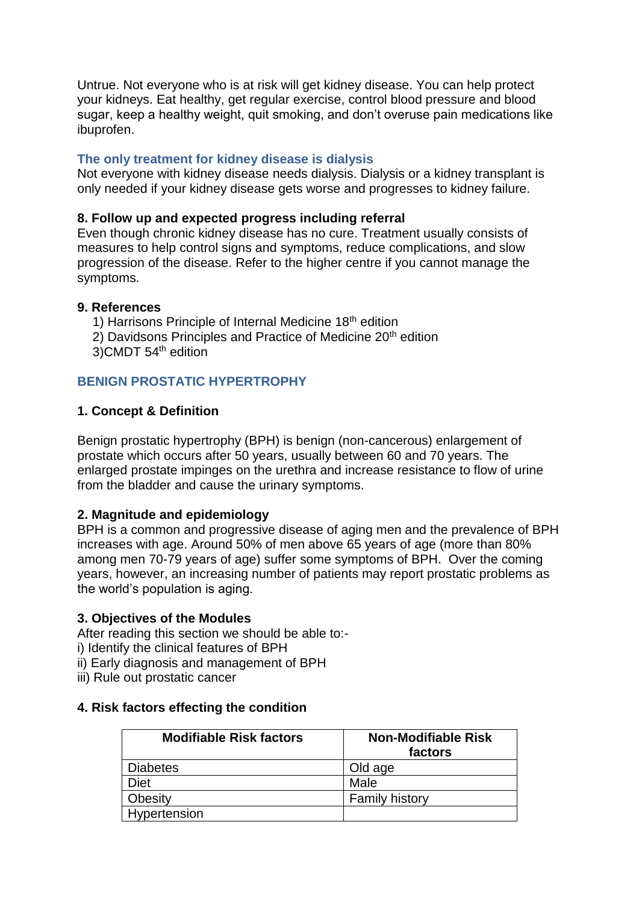Untrue. Not everyone who is at risk will get kidney disease. You can help protect your kidneys. Eat healthy, get regular exercise, control blood pressure and blood sugar, keep a healthy weight, quit smoking, and don't overuse pain medications like ibuprofen.

## **The only treatment for kidney disease is dialysis**

Not everyone with kidney disease needs dialysis. Dialysis or a kidney transplant is only needed if your kidney disease gets worse and progresses to kidney failure.

#### **8. Follow up and expected progress including referral**

Even though chronic kidney disease has no cure. Treatment usually consists of measures to help control signs and symptoms, reduce complications, and slow progression of the disease. Refer to the higher centre if you cannot manage the symptoms.

## **9. References**

- 1) Harrisons Principle of Internal Medicine 18th edition
- 2) Davidsons Principles and Practice of Medicine 20<sup>th</sup> edition
- 3)CMDT 54th edition

# **BENIGN PROSTATIC HYPERTROPHY**

## **1. Concept & Definition**

Benign prostatic hypertrophy (BPH) is benign (non-cancerous) enlargement of prostate which occurs after 50 years, usually between 60 and 70 years. The enlarged prostate impinges on the [urethra](https://en.wikipedia.org/wiki/Urethra) and increase resistance to flow of urine from the bladder and cause the urinary symptoms.

## **2. Magnitude and epidemiology**

BPH is a common and progressive disease of aging men and the prevalence of BPH increases with age. Around 50% of men above 65 years of age (more than 80% among men 70-79 years of age) suffer some symptoms of BPH. Over the coming years, however, an increasing number of patients may report prostatic problems as the world's population is aging.

#### **3. Objectives of the Modules**

After reading this section we should be able to:-

i) Identify the clinical features of BPH

ii) Early diagnosis and management of BPH

iii) Rule out prostatic cancer

## **4. Risk factors effecting the condition**

| <b>Modifiable Risk factors</b> | <b>Non-Modifiable Risk</b><br>factors |
|--------------------------------|---------------------------------------|
| <b>Diabetes</b>                | Old age                               |
| <b>Diet</b>                    | Male                                  |
| Obesity                        | <b>Family history</b>                 |
| Hypertension                   |                                       |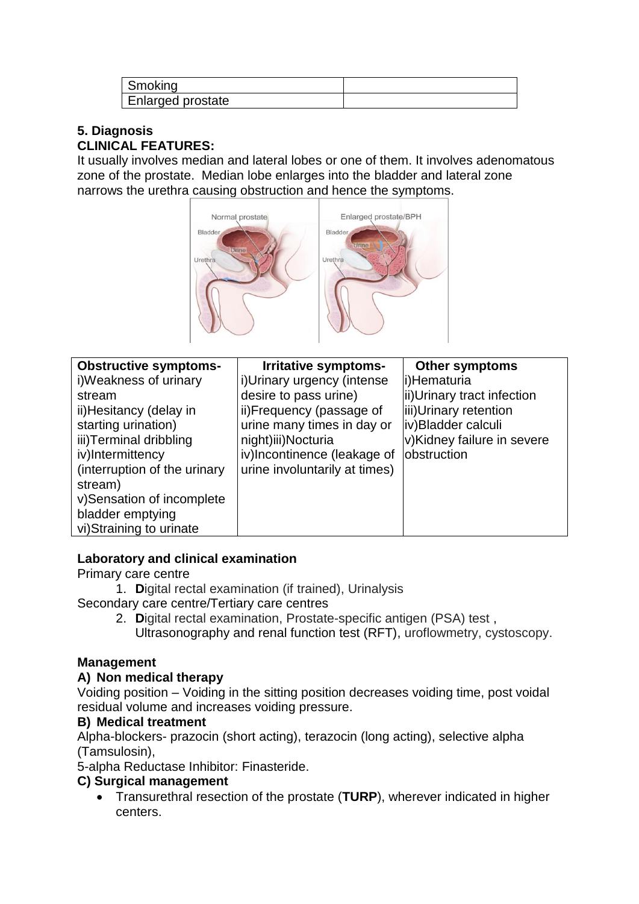| Smoking           |  |
|-------------------|--|
| Enlarged prostate |  |

# **5. Diagnosis CLINICAL FEATURES:**

It usually involves median and lateral lobes or one of them. It involves adenomatous zone of the prostate. Median lobe enlarges into the bladder and lateral zone narrows the urethra causing obstruction and hence the symptoms.



| <b>Obstructive symptoms-</b> | Irritative symptoms-          | <b>Other symptoms</b>      |
|------------------------------|-------------------------------|----------------------------|
| i)Weakness of urinary        | i) Urinary urgency (intense   | i)Hematuria                |
| stream                       | desire to pass urine)         | ii)Urinary tract infection |
| ii) Hesitancy (delay in      | ii)Frequency (passage of      | iii)Urinary retention      |
| starting urination)          | urine many times in day or    | iv)Bladder calculi         |
| iii)Terminal dribbling       | night)iii)Nocturia            | v)Kidney failure in severe |
| iv)Intermittency             | iv)Incontinence (leakage of   | obstruction                |
| (interruption of the urinary | urine involuntarily at times) |                            |
| stream)                      |                               |                            |
| v)Sensation of incomplete    |                               |                            |
| bladder emptying             |                               |                            |
| vi) Straining to urinate     |                               |                            |

# **Laboratory and clinical examination**

Primary care centre

1. **D**igital rectal examination (if trained), Urinalysis Secondary care centre/Tertiary care centres

- 2. **D**igital rectal examination, Prostate-specific antigen (PSA) test ,
	- Ultrasonography and renal function test (RFT), uroflowmetry, cystoscopy.

# **Management**

# **A) Non medical therapy**

Voiding position – Voiding in the sitting position decreases voiding time, post voidal residual volume and increases voiding pressure.

# **B) Medical treatment**

Alpha-blockers- prazocin (short acting), terazocin (long acting), selective alpha (Tamsulosin),

5-alpha Reductase Inhibitor: Finasteride.

# **C) Surgical management**

• Transurethral resection of the prostate (**TURP**), wherever indicated in higher centers.